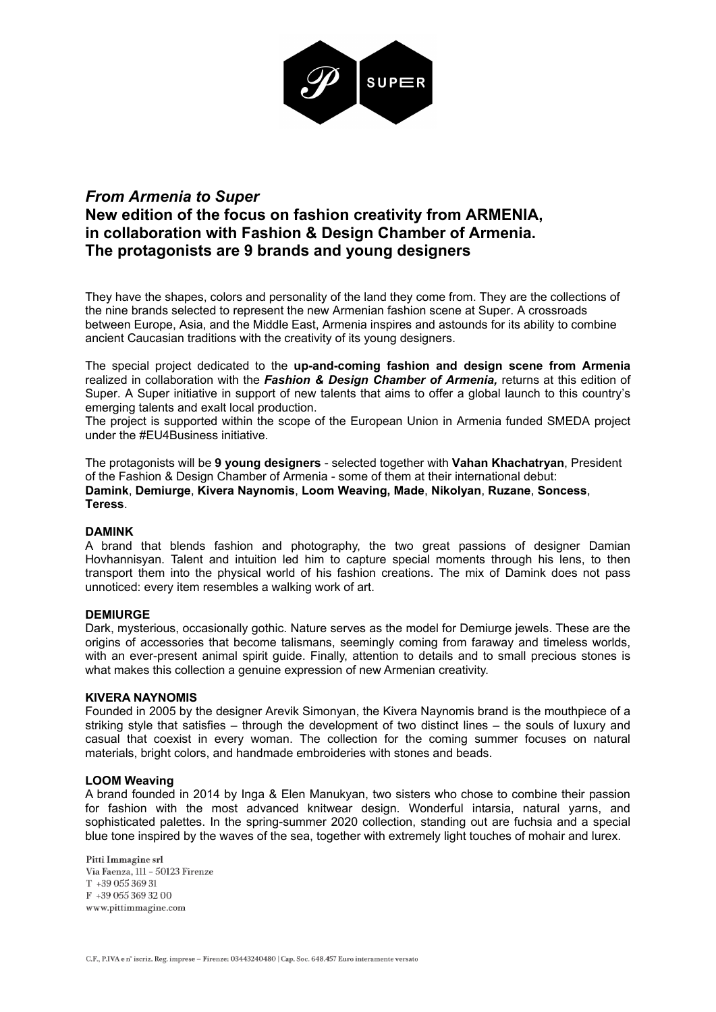

# *From Armenia to Super*

# **New edition of the focus on fashion creativity from ARMENIA, in collaboration with Fashion & Design Chamber of Armenia. The protagonists are 9 brands and young designers**

They have the shapes, colors and personality of the land they come from. They are the collections of the nine brands selected to represent the new Armenian fashion scene at Super. A crossroads between Europe, Asia, and the Middle East, Armenia inspires and astounds for its ability to combine ancient Caucasian traditions with the creativity of its young designers.

The special project dedicated to the **up-and-coming fashion and design scene from Armenia** realized in collaboration with the *Fashion & Design Chamber of Armenia,* returns at this edition of Super. A Super initiative in support of new talents that aims to offer a global launch to this country's emerging talents and exalt local production.

The project is supported within the scope of the European Union in Armenia funded SMEDA project under the #EU4Business initiative.

The protagonists will be **9 young designers** - selected together with **Vahan Khachatryan**, President of the Fashion & Design Chamber of Armenia - some of them at their international debut: **Damink**, **Demiurge**, **Kivera Naynomis**, **Loom Weaving, Made**, **Nikolyan**, **Ruzane**, **Soncess**, **Teress**.

# **DAMINK**

A brand that blends fashion and photography, the two great passions of designer Damian Hovhannisyan. Talent and intuition led him to capture special moments through his lens, to then transport them into the physical world of his fashion creations. The mix of Damink does not pass unnoticed: every item resembles a walking work of art.

# **DEMIURGE**

Dark, mysterious, occasionally gothic. Nature serves as the model for Demiurge jewels. These are the origins of accessories that become talismans, seemingly coming from faraway and timeless worlds, with an ever-present animal spirit guide. Finally, attention to details and to small precious stones is what makes this collection a genuine expression of new Armenian creativity.

#### **KIVERA NAYNOMIS**

Founded in 2005 by the designer Arevik Simonyan, the Kivera Naynomis brand is the mouthpiece of a striking style that satisfies – through the development of two distinct lines – the souls of luxury and casual that coexist in every woman. The collection for the coming summer focuses on natural materials, bright colors, and handmade embroideries with stones and beads.

#### **LOOM Weaving**

A brand founded in 2014 by Inga & Elen Manukyan, two sisters who chose to combine their passion for fashion with the most advanced knitwear design. Wonderful intarsia, natural yarns, and sophisticated palettes. In the spring-summer 2020 collection, standing out are fuchsia and a special blue tone inspired by the waves of the sea, together with extremely light touches of mohair and lurex.

Pitti Immagine srl Via Faenza, 111 - 50123 Firenze  $T + 3905536931$  $F +390553693200$ <br>www.pittimmagine.com